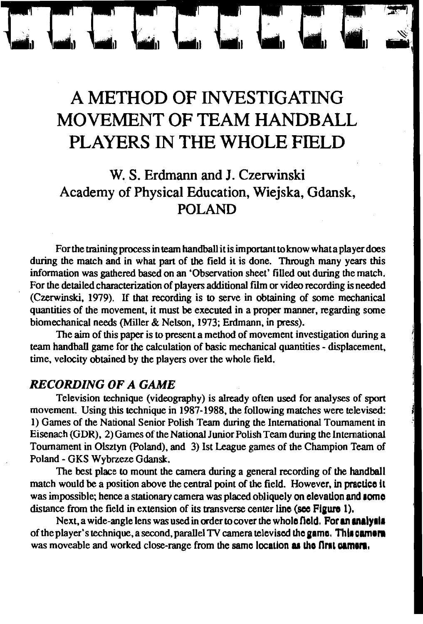# A METHOD OF INVESTIGATING MOVEMENT OF TEAM HANDBALL PLAYERS IN THE WHOLE FIELD

## W. S. Erdmann and J. Czerwinski Academy of Physical Education, Wiejska, Gdansk, POLAND

For the training process in team handball it is important to know what a player does during the match and in what part of the field it is done. Through many years this information was gathered based on an 'Observation sheet' filled out during the match. For the detailed characterization of players additional film or video recording is needed (Czerwinski, 1979). If that recording is to serve in obtaining of some mechanical quantities of the movement, it must be executed in a proper manner, regarding some biomechanical needs (Miller & Nelson, 1973; Erdmann, in press).

The aim of this paper is to present a method of movement investigation during a team handball game for the calculation of basic mechanical quantities - displacement, time, velocity obtained by the players over the whole field.

#### **RECORDING OF A GAME**

Television technique (videography) is already often used for analyses of sport movement. Using this technique in 1987-1988, the following matches were televised: 1) Games of the National Senior Polish Team during the International Tournament in Eisenach (GDR), 2) Games of the National Junior Polish Team during the International Tournament in Olsztyn (Poland), and 3) Ist League games of the Champion Team of Poland - GKS Wybrzeze Gdansk.

The best place to mount the camera during a general recording of the handball match would be a position above the central point of the field. However, in practice it was impossible; hence a stationary camera was placed obliquely on elevation and some distance from the field in extension of its transverse center line (see Figure 1).

Next, a wide-angle lens was used in order to cover the whole field. For an analysis of the player's technique, a second, parallel TV camera televised the game. This camera was moveable and worked close-range from the same location as the first camera.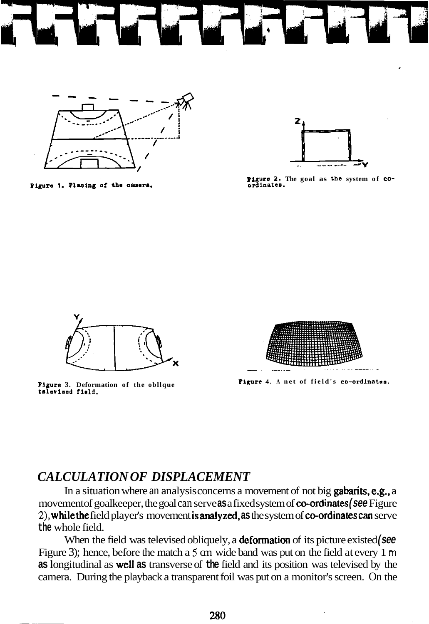

Pigure 1. Placing of the camera.



**Pigure 2.** The goal as the system of co-<br>ordinates.



Pigure 3. Deformation of the oblique talevised field.



**Plyre 4. A net of field's co-ordinates.** 

#### *CALCULATION OF DISPLACEMENT*

In a situation where an analysis concerns a movement of not big **gabarits, e.g.**, a movement of goalkeeper, the goal can serve **as** a fixed system of co-ordinates **(see** Figure **2).** whilethe field player's movement isanalyzed, **as** the system of co-ordinatescan serve **the** whole field.

When the field was televised obliquely, a **deformation** of its picture existed **(see**) Figure 3); hence, before the match a 5 cm wide band was put on the field at every 1 m **as** longitudinal as well **as** transverse of **the** field and its position was televised by the camera. During the playback a transparent foil was put on a monitor's screen. On the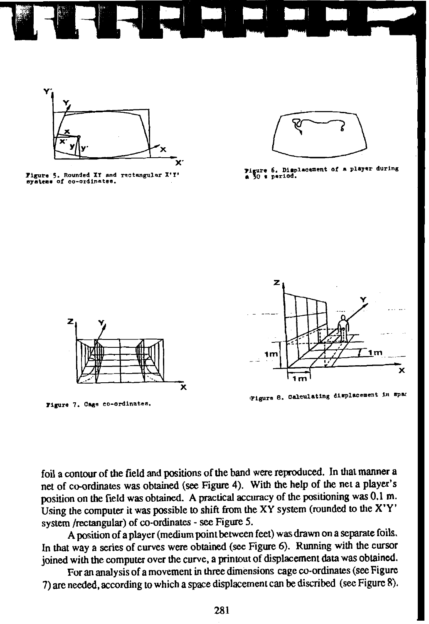

Figure 5. Rounded XI and rectangular X'I' systems of co-ordinates.



Pigure 6. Displacement of a player during<br>a 30 s period.



Figure 7. Cage co-ordinates.



Figure 8. Calculating displacement in spac

foil a contour of the field and positions of the band were reproduced. In that manner a net of co-ordinates was obtained (see Figure 4). With the help of the net a player's position on the field was obtained. A practical accuracy of the positioning was 0.1 m. Using the computer it was possible to shift from the XY system (rounded to the X'Y' system /rectangular) of co-ordinates - see Figure 5.

A position of a player (medium point between feet) was drawn on a separate foils. In that way a series of curves were obtained (see Figure 6). Running with the cursor joined with the computer over the curve. a printout of displacement data was obtained.

For an analysis of a movement in three dimensions cage co-ordinates (see Figure 7) are needed, according to which a space displacement can be discribed (see Figure 8).